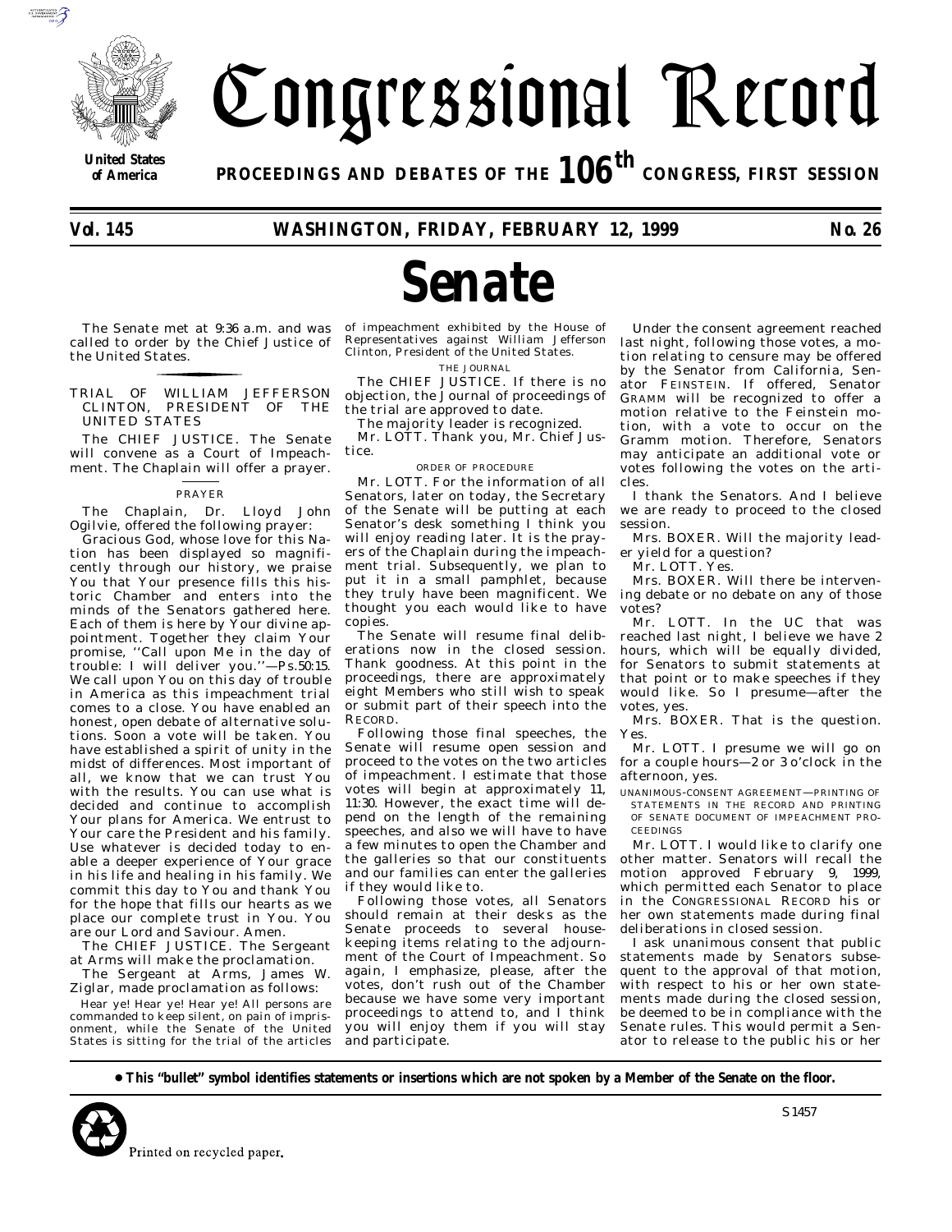

# Congressional Record

**United States**

*of* **America PROCEEDINGS AND DEBATES OF THE** *106th* **CONGRESS, FIRST SESSION**

# *Senate*

The Senate met at 9:36 a.m. and was called to order by the Chief Justice of the United States. for the control of the control of

TRIAL OF WILLIAM JEFFERSON CLINTON, PRESIDENT OF THE UNITED STATES

The CHIEF JUSTICE. The Senate will convene as a Court of Impeachment. The Chaplain will offer a prayer.

# PRAYER

The Chaplain, Dr. Lloyd John Ogilvie, offered the following prayer:

Gracious God, whose love for this Nation has been displayed so magnificently through our history, we praise You that Your presence fills this historic Chamber and enters into the minds of the Senators gathered here. Each of them is here by Your divine appointment. Together they claim Your promise, ''Call upon Me in the day of trouble: I will deliver you.''—Ps.50:15. We call upon You on this day of trouble in America as this impeachment trial comes to a close. You have enabled an honest, open debate of alternative solutions. Soon a vote will be taken. You have established a spirit of unity in the midst of differences. Most important of all, we know that we can trust You with the results. You can use what is decided and continue to accomplish Your plans for America. We entrust to Your care the President and his family. Use whatever is decided today to enable a deeper experience of Your grace in his life and healing in his family. We commit this day to You and thank You for the hope that fills our hearts as we place our complete trust in You. You are our Lord and Saviour. Amen.

The CHIEF JUSTICE. The Sergeant at Arms will make the proclamation. The Sergeant at Arms, James W.

Ziglar, made proclamation as follows:

Hear ye! Hear ye! Hear ye! All persons are commanded to keep silent, on pain of imprisonment, while the Senate of the United States is sitting for the trial of the articles of impeachment exhibited by the House of Representatives against William Jefferson Clinton, President of the United States.

THE JOURNAL

The CHIEF JUSTICE. If there is no objection, the Journal of proceedings of the trial are approved to date.

The majority leader is recognized.

Mr. LOTT. Thank you, Mr. Chief Justice.

ORDER OF PROCEDURE

Mr. LOTT. For the information of all Senators, later on today, the Secretary of the Senate will be putting at each Senator's desk something I think you will enjoy reading later. It is the prayers of the Chaplain during the impeachment trial. Subsequently, we plan to put it in a small pamphlet, because they truly have been magnificent. We thought you each would like to have copies.

The Senate will resume final deliberations now in the closed session. Thank goodness. At this point in the proceedings, there are approximately eight Members who still wish to speak or submit part of their speech into the RECORD.

Following those final speeches, the Senate will resume open session and proceed to the votes on the two articles of impeachment. I estimate that those votes will begin at approximately 11, 11:30. However, the exact time will depend on the length of the remaining speeches, and also we will have to have a few minutes to open the Chamber and the galleries so that our constituents and our families can enter the galleries if they would like to.

Following those votes, all Senators should remain at their desks as the Senate proceeds to several housekeeping items relating to the adjournment of the Court of Impeachment. So again, I emphasize, please, after the votes, don't rush out of the Chamber because we have some very important proceedings to attend to, and I think you will enjoy them if you will stay and participate.

Under the consent agreement reached last night, following those votes, a motion relating to censure may be offered by the Senator from California, Senator FEINSTEIN. If offered, Senator GRAMM will be recognized to offer a motion relative to the Feinstein motion, with a vote to occur on the Gramm motion. Therefore, Senators may anticipate an additional vote or votes following the votes on the articles.

I thank the Senators. And I believe we are ready to proceed to the closed session.

Mrs. BOXER. Will the majority leader yield for a question?

Mr. LOTT. Yes.

Mrs. BOXER. Will there be intervening debate or no debate on any of those votes?

Mr. LOTT. In the UC that was reached last night, I believe we have 2 hours, which will be equally divided, for Senators to submit statements at that point or to make speeches if they would like. So I presume—after the votes, yes.

Mrs. BOXER. That is the question. Yes.

Mr. LOTT. I presume we will go on for a couple hours—2 or 3 o'clock in the afternoon, yes.

UNANIMOUS-CONSENT AGREEMENT—PRINTING OF STATEMENTS IN THE RECORD AND PRINTING OF SENATE DOCUMENT OF IMPEACHMENT PRO-**CEEDINGS** 

Mr. LOTT. I would like to clarify one other matter. Senators will recall the motion approved February 9, 1999, which permitted each Senator to place in the CONGRESSIONAL RECORD his or her own statements made during final deliberations in closed session.

I ask unanimous consent that public statements made by Senators subsequent to the approval of that motion, with respect to his or her own statements made during the closed session, be deemed to be in compliance with the Senate rules. This would permit a Senator to release to the public his or her

∑ **This ''bullet'' symbol identifies statements or insertions which are not spoken by a Member of the Senate on the floor.**

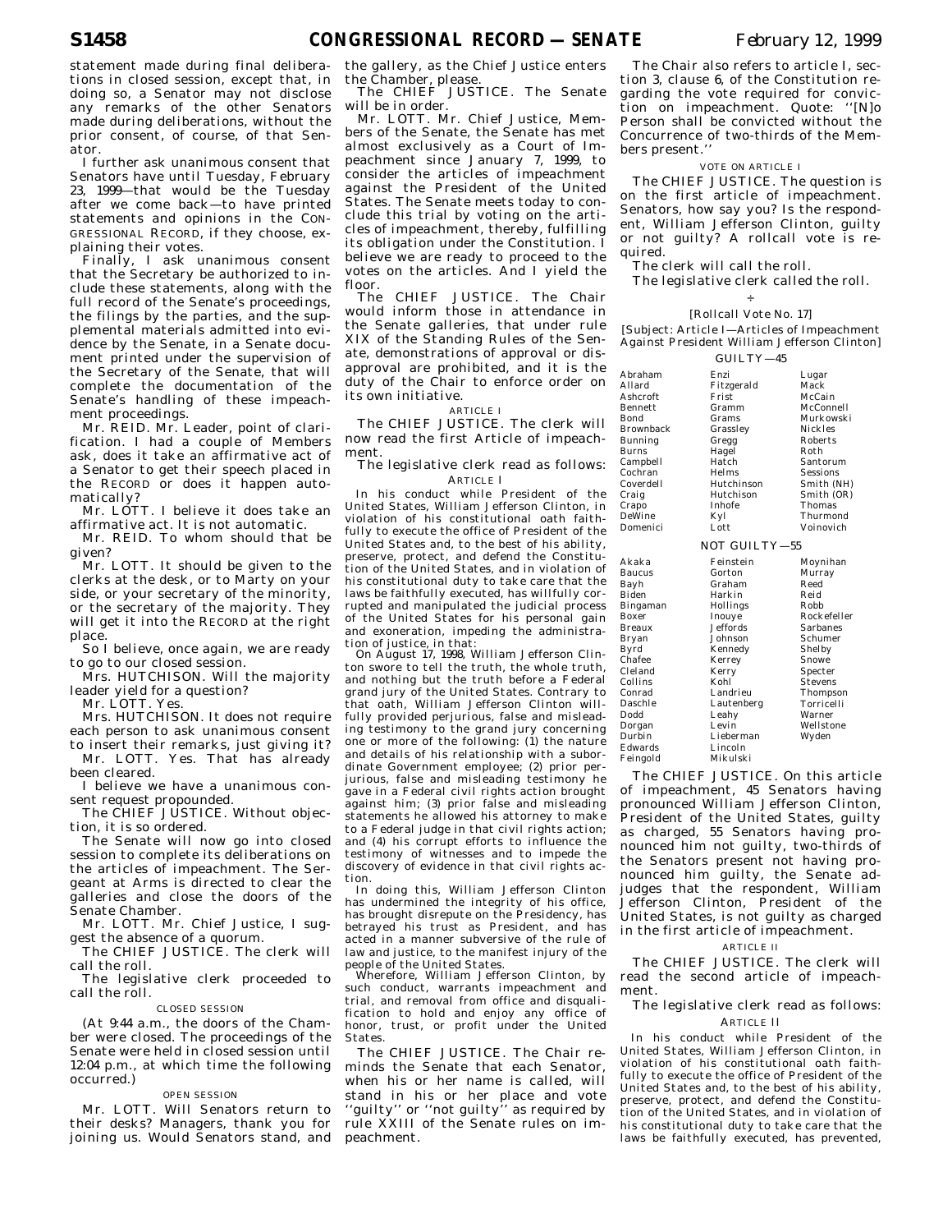statement made during final deliberations in closed session, except that, in doing so, a Senator may not disclose any remarks of the other Senators made during deliberations, without the prior consent, of course, of that Senator.

I further ask unanimous consent that Senators have until Tuesday, February 23, 1999—that would be the Tuesday after we come back—to have printed statements and opinions in the CON-GRESSIONAL RECORD, if they choose, explaining their votes.

Finally, I ask unanimous consent that the Secretary be authorized to include these statements, along with the full record of the Senate's proceedings, the filings by the parties, and the supplemental materials admitted into evidence by the Senate, in a Senate document printed under the supervision of the Secretary of the Senate, that will complete the documentation of the Senate's handling of these impeachment proceedings.

Mr. REID. Mr. Leader, point of clarification. I had a couple of Members ask, does it take an affirmative act of a Senator to get their speech placed in the RECORD or does it happen automatically?

Mr. LÕTT. I believe it does take an affirmative act. It is not automatic.

Mr. REID. To whom should that be given?

Mr. LOTT. It should be given to the clerks at the desk, or to Marty on your side, or your secretary of the minority, or the secretary of the majority. They will get it into the RECORD at the right place.

So I believe, once again, we are ready to go to our closed session.

Mrs. HUTCHISON. Will the majority leader yield for a question?

Mr. LOTT. Yes.

Mrs. HUTCHISON. It does not require each person to ask unanimous consent to insert their remarks, just giving it?

Mr. LOTT. Yes. That has already been cleared.

I believe we have a unanimous consent request propounded.

The CHIEF JUSTICE. Without objection, it is so ordered.

The Senate will now go into closed session to complete its deliberations on the articles of impeachment. The Sergeant at Arms is directed to clear the galleries and close the doors of the Senate Chamber.

Mr. LOTT. Mr. Chief Justice, I suggest the absence of a quorum.

The CHIEF JUSTICE. The clerk will call the roll.

The legislative clerk proceeded to call the roll.

#### CLOSED SESSION

(At 9:44 a.m., the doors of the Chamber were closed. The proceedings of the Senate were held in closed session until 12:04 p.m., at which time the following occurred.)

#### OPEN SESSION

Mr. LOTT. Will Senators return to their desks? Managers, thank you for joining us. Would Senators stand, and

the gallery, as the Chief Justice enters the Chamber, please.

The CHIEF JUSTICE. The Senate will be in order.

Mr. LOTT. Mr. Chief Justice, Members of the Senate, the Senate has met almost exclusively as a Court of Impeachment since January 7, 1999, to consider the articles of impeachment against the President of the United States. The Senate meets today to conclude this trial by voting on the articles of impeachment, thereby, fulfilling its obligation under the Constitution. I believe we are ready to proceed to the votes on the articles. And I yield the floor.

The CHIEF JUSTICE. The Chair would inform those in attendance in the Senate galleries, that under rule XIX of the Standing Rules of the Senate, demonstrations of approval or disapproval are prohibited, and it is the duty of the Chair to enforce order on its own initiative.

#### ARTICLE I

The CHIEF JUSTICE. The clerk will now read the first Article of impeachment.

## The legislative clerk read as follows: ARTICLE I

In his conduct while President of the United States, William Jefferson Clinton, in violation of his constitutional oath faithfully to execute the office of President of the United States and, to the best of his ability, preserve, protect, and defend the Constitution of the United States, and in violation of his constitutional duty to take care that the laws be faithfully executed, has willfully corrupted and manipulated the judicial process of the United States for his personal gain and exoneration, impeding the administration of justice, in that:

On August 17, 1998, William Jefferson Clinton swore to tell the truth, the whole truth, and nothing but the truth before a Federal grand jury of the United States. Contrary to that oath, William Jefferson Clinton willfully provided perjurious, false and misleading testimony to the grand jury concerning one or more of the following: (1) the nature and details of his relationship with a subordinate Government employee; (2) prior perjurious, false and misleading testimony he gave in a Federal civil rights action brought against him; (3) prior false and misleading statements he allowed his attorney to make to a Federal judge in that civil rights action; and (4) his corrupt efforts to influence the testimony of witnesses and to impede the discovery of evidence in that civil rights action.

In doing this, William Jefferson Clinton has undermined the integrity of his office, has brought disrepute on the Presidency, has betrayed his trust as President, and has acted in a manner subversive of the rule of law and justice, to the manifest injury of the people of the United States.

Wherefore, William Jefferson Clinton, by such conduct, warrants impeachment and trial, and removal from office and disqualification to hold and enjoy any office of honor, trust, or profit under the United States.

The CHIEF JUSTICE. The Chair reminds the Senate that each Senator, when his or her name is called, will stand in his or her place and vote ''guilty'' or ''not guilty'' as required by rule XXIII of the Senate rules on impeachment.

The Chair also refers to article I, section 3, clause 6, of the Constitution regarding the vote required for conviction on impeachment. Quote: ''[N]o Person shall be convicted without the Concurrence of two-thirds of the Members present.''

#### VOTE ON ARTICLE I

The CHIEF JUSTICE. The question is on the first article of impeachment. Senators, how say you? Is the respondent, William Jefferson Clinton, guilty or not guilty? A rollcall vote is required.

The clerk will call the roll.

The legislative clerk called the roll.

#### ∞[Rollcall Vote No. 17]

[Subject: Article I—Articles of Impeachment Against President William Jefferson Clinton]  $C$ UILTY  $45$ 

|                  | (JULL 1 — 40  |            |
|------------------|---------------|------------|
| Abraham          | Enzi          | Lugar      |
| Allard           | Fitzgerald    | Mack       |
| Ashcroft         | Frist         | McCain     |
| <b>Bennett</b>   | Gramm         | McConnell  |
| Bond             | Grams         | Murkowski  |
| <b>Brownback</b> | Grassley      | Nickles    |
| Bunning          | Gregg         | Roberts    |
| <b>Burns</b>     | Hagel         | Roth       |
| Campbell         | Hatch         | Santorum   |
| Cochran          | Helms         | Sessions   |
| Coverdell        | Hutchinson    | Smith (NH) |
| Craig            | Hutchison     | Smith (OR) |
| Crapo            | Inhofe        | Thomas     |
| DeWine           | Kyl           | Thurmond   |
| Domenici         | Lott          | Voinovich  |
|                  | NOT GUILTY-55 |            |
| Akaka            | Feinstein     | Movnihan   |

Baucus Bayh Biden Bingaman Boxer Breaux Bryan Byrd Chafee Cleland Collins Conrad Daschle Dodd Dorgan Durbin Edwards Feingold Gorton Graham Harkin Hollings Inouye Jeffords Johnson Kennedy Kerrey Kerry Kohl Landrieu Lautenberg Leahy Levin Lieberman Lincoln Mikulski Murray Reed Reid Robb Rockefeller Sarbanes Schumer Shelby Snowe Specter **Stevens** Thompson Torricelli Warner Wellstone Wyden

The CHIEF JUSTICE. On this article of impeachment, 45 Senators having pronounced William Jefferson Clinton, President of the United States, guilty as charged, 55 Senators having pronounced him not guilty, two-thirds of the Senators present not having pronounced him guilty, the Senate adjudges that the respondent, William Jefferson Clinton, President of the United States, is not guilty as charged in the first article of impeachment.

# ARTICLE II

The CHIEF JUSTICE. The clerk will read the second article of impeachment.

# The legislative clerk read as follows:

### ARTICLE II

In his conduct while President of the United States, William Jefferson Clinton, in violation of his constitutional oath faithfully to execute the office of President of the United States and, to the best of his ability, preserve, protect, and defend the Constitution of the United States, and in violation of his constitutional duty to take care that the laws be faithfully executed, has prevented,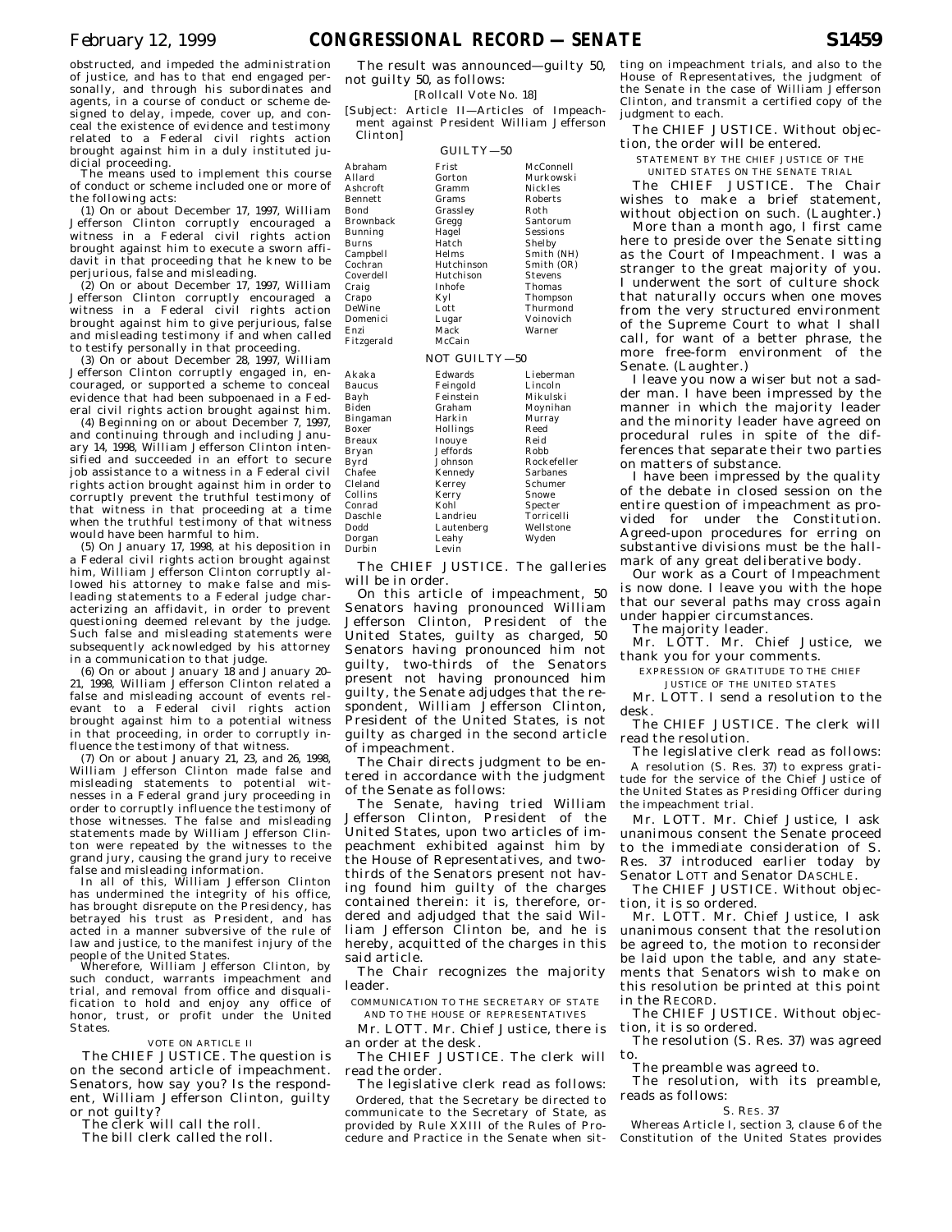$Br$  $B<sub>1</sub>$  $B<sub>u</sub>$ 

 $C_{\mathcal{C}}$  $C<sub>C</sub>$ C<sub>r</sub> C<sub>r</sub>  $\overline{D}$ Domenici En

obstructed, and impeded the administration of justice, and has to that end engaged personally, and through his subordinates and agents, in a course of conduct or scheme designed to delay, impede, cover up, and conceal the existence of evidence and testimony related to a Federal civil rights action brought against him in a duly instituted judicial proceeding.

The means used to implement this course of conduct or scheme included one or more of the following acts:  $B<sub>0</sub>$ 

(1) On or about December 17, 1997, William Jefferson Clinton corruptly encouraged a witness in a Federal civil rights action brought against him to execute a sworn affidavit in that proceeding that he knew to be perjurious, false and misleading.

(2) On or about December 17, 1997, William Jefferson Clinton corruptly encouraged a witness in a Federal civil rights action brought against him to give perjurious, false and misleading testimony if and when called to testify personally in that proceeding.

(3) On or about December 28, 1997, William Jefferson Clinton corruptly engaged in, encouraged, or supported a scheme to conceal evidence that had been subpoenaed in a Federal civil rights action brought against him.

(4) Beginning on or about December 7, 1997, and continuing through and including January 14, 1998, William Jefferson Clinton intensified and succeeded in an effort to secure job assistance to a witness in a Federal civil rights action brought against him in order to corruptly prevent the truthful testimony of that witness in that proceeding at a time when the truthful testimony of that witness would have been harmful to him.

(5) On January 17, 1998, at his deposition in a Federal civil rights action brought against him, William Jefferson Clinton corruptly allowed his attorney to make false and misleading statements to a Federal judge characterizing an affidavit, in order to prevent questioning deemed relevant by the judge. Such false and misleading statements were subsequently acknowledged by his attorney in a communication to that judge.

(6) On or about January 18 and January 20– 21, 1998, William Jefferson Clinton related a false and misleading account of events relevant to a Federal civil rights action brought against him to a potential witness in that proceeding, in order to corruptly influence the testimony of that witness

(7) On or about January 21, 23, and 26, 1998, William Jefferson Clinton made false and misleading statements to potential witnesses in a Federal grand jury proceeding in order to corruptly influence the testimony of those witnesses. The false and misleading statements made by William Jefferson Clinton were repeated by the witnesses to the grand jury, causing the grand jury to receive

false and misleading information. In all of this, William Jefferson Clinton has undermined the integrity of his office, has brought disrepute on the Presidency, has betrayed his trust as President, and has acted in a manner subversive of the rule of law and justice, to the manifest injury of the people of the United States.

Wherefore, William Jefferson Clinton, by such conduct, warrants impeachment and trial, and removal from office and disqualification to hold and enjoy any office of honor, trust, or profit under the United States.

#### VOTE ON ARTICLE II

The CHIEF JUSTICE. The question is on the second article of impeachment. Senators, how say you? Is the respondent, William Jefferson Clinton, guilty or not guilty?

The clerk will call the roll.

The bill clerk called the roll.

The result was announced—guilty 50, not guilty 50, as follows:

[Rollcall Vote No. 18]

[Subject: Article II—Articles of Impeachment against President William Jefferson Clinton]

|                  | GUILTY-50     |            |
|------------------|---------------|------------|
| Abraham          | Frist         | McConnell  |
| Allard           | Gorton        | Murkowski  |
| Ashcroft         | Gramm         | Nickles    |
| Bennett          | Grams         | Roberts    |
| Bond             | Grassley      | Roth       |
| <b>Brownback</b> | Gregg         | Santorum   |
| Bunning          | Hagel         | Sessions   |
| <b>Burns</b>     | Hatch         | Shelby     |
| Campbell         | Helms         | Smith (NH) |
| Cochran          | Hutchinson    | Smith (OR) |
| Coverdell        | Hutchison     | Stevens    |
| Craig            | Inhofe        | Thomas     |
| Crapo            | Kyl           | Thompson   |
| DeWine           | Lott          | Thurmond   |
| Domenici         | Lugar         | Voinovich  |
| Enzi             | Mack          | Warner     |
| Fitzgerald       | McCain        |            |
|                  | NOT GUILTY—50 |            |

| Akaka         | Edwards    | Lieberman       |
|---------------|------------|-----------------|
| Baucus        | Feingold   | Lincoln         |
| Bayh          | Feinstein  | Mikulski        |
| <b>Biden</b>  | Graham     | Moynihan        |
| Bingaman      | Harkin     | Murray          |
| Boxer         | Hollings   | Reed            |
| <b>Breaux</b> | Inouye     | Reid            |
| Bryan         | Jeffords.  | Robb            |
| Byrd          | Johnson    | Rockefeller     |
| Chafee        | Kennedy    | <b>Sarbanes</b> |
| Cleland       | Kerrey     | Schumer         |
| Collins       | Kerry      | Snowe           |
| Conrad        | Kohl       | Specter         |
| Daschle       | Landrieu   | Torricelli      |
| Dodd          | Lautenberg | Wellstone       |
| Dorgan        | Leahy      | Wyden           |
| Durbin        | Levin      |                 |

The CHIEF JUSTICE. The galleries will be in order.

On this article of impeachment, 50 Senators having pronounced William Jefferson Clinton, President of the United States, guilty as charged, 50 Senators having pronounced him not guilty, two-thirds of the Senators present not having pronounced him guilty, the Senate adjudges that the respondent, William Jefferson Clinton, President of the United States, is not guilty as charged in the second article of impeachment.

The Chair directs judgment to be entered in accordance with the judgment of the Senate as follows:

The Senate, having tried William Jefferson Clinton, President of the United States, upon two articles of impeachment exhibited against him by the House of Representatives, and twothirds of the Senators present not having found him guilty of the charges contained therein: it is, therefore, ordered and adjudged that the said William Jefferson Clinton be, and he is hereby, acquitted of the charges in this said article.

The Chair recognizes the majority leader.

COMMUNICATION TO THE SECRETARY OF STATE AND TO THE HOUSE OF REPRESENTATIVES

Mr. LOTT. Mr. Chief Justice, there is an order at the desk.

The CHIEF JUSTICE. The clerk will read the order.

The legislative clerk read as follows: Ordered, that the Secretary be directed to communicate to the Secretary of State, as provided by Rule XXIII of the Rules of Procedure and Practice in the Senate when sit-

ting on impeachment trials, and also to the House of Representatives, the judgment of the Senate in the case of William Jefferson Clinton, and transmit a certified copy of the judgment to each.

The CHIEF JUSTICE. Without objection, the order will be entered.

STATEMENT BY THE CHIEF JUSTICE OF THE UNITED STATES ON THE SENATE TRIAL

The CHIEF JUSTICE. The Chair wishes to make a brief statement, without objection on such. (Laughter.)

More than a month ago, I first came here to preside over the Senate sitting as the Court of Impeachment. I was a stranger to the great majority of you. I underwent the sort of culture shock that naturally occurs when one moves from the very structured environment of the Supreme Court to what I shall call, for want of a better phrase, the more free-form environment of the Senate. (Laughter.)

I leave you now a wiser but not a sadder man. I have been impressed by the manner in which the majority leader and the minority leader have agreed on procedural rules in spite of the differences that separate their two parties on matters of substance.

I have been impressed by the quality of the debate in closed session on the entire question of impeachment as provided for under the Constitution. Agreed-upon procedures for erring on substantive divisions must be the hallmark of any great deliberative body.

Our work as a Court of Impeachment is now done. I leave you with the hope that our several paths may cross again under happier circumstances.

The majority leader.

Mr. LÕTT. Mr. Chief Justice, we thank you for your comments.

EXPRESSION OF GRATITUDE TO THE CHIEF

JUSTICE OF THE UNITED STATES

Mr. LOTT. I send a resolution to the desk.

The CHIEF JUSTICE. The clerk will read the resolution.

The legislative clerk read as follows: A resolution (S. Res. 37) to express gratitude for the service of the Chief Justice of the United States as Presiding Officer during the impeachment trial.

Mr. LOTT. Mr. Chief Justice, I ask unanimous consent the Senate proceed to the immediate consideration of S. Res. 37 introduced earlier today by Senator LOTT and Senator DASCHLE.

The CHIEF JUSTICE. Without objection, it is so ordered.

Mr. LOTT. Mr. Chief Justice, I ask unanimous consent that the resolution be agreed to, the motion to reconsider be laid upon the table, and any statements that Senators wish to make on this resolution be printed at this point in the RECORD.

The CHIEF JUSTICE. Without objection, it is so ordered.

The resolution (S. Res. 37) was agreed to.

The preamble was agreed to.

The resolution, with its preamble, reads as follows:

#### S. RES. 37

Whereas Article I, section 3, clause 6 of the Constitution of the United States provides